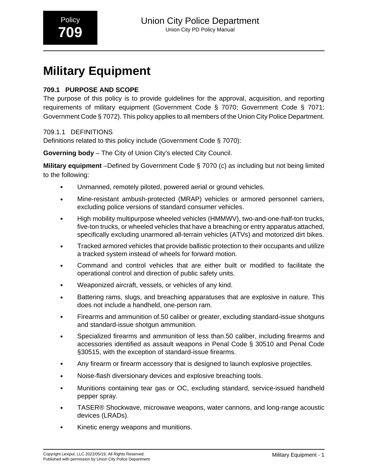# **Military Equipment**

### **709.1 PURPOSE AND SCOPE**

The purpose of this policy is to provide guidelines for the approval, acquisition, and reporting requirements of military equipment (Government Code § 7070; Government Code § 7071; Government Code § 7072). This policy applies to all members of the Union City Police Department.

### 709.1.1 DEFINITIONS

Definitions related to this policy include (Government Code § 7070):

**Governing body** – The City of Union City's elected City Council.

**Military equipment** –Defined by Government Code § 7070 (c) as including but not being limited to the following:

- Unmanned, remotely piloted, powered aerial or ground vehicles.
- Mine-resistant ambush-protected (MRAP) vehicles or armored personnel carriers, excluding police versions of standard consumer vehicles.
- High mobility multipurpose wheeled vehicles (HMMWV), two-and-one-half-ton trucks, five-ton trucks, or wheeled vehicles that have a breaching or entry apparatus attached, specifically excluding unarmored all-terrain vehicles (ATVs) and motorized dirt bikes.
- Tracked armored vehicles that provide ballistic protection to their occupants and utilize a tracked system instead of wheels for forward motion.
- Command and control vehicles that are either built or modified to facilitate the operational control and direction of public safety units.
- Weaponized aircraft, vessels, or vehicles of any kind.
- Battering rams, slugs, and breaching apparatuses that are explosive in nature. This does not include a handheld, one-person ram.
- Firearms and ammunition of.50 caliber or greater, excluding standard-issue shotguns and standard-issue shotgun ammunition.
- Specialized firearms and ammunition of less than.50 caliber, including firearms and accessories identified as assault weapons in Penal Code § 30510 and Penal Code §30515, with the exception of standard-issue firearms.
- Any firearm or firearm accessory that is designed to launch explosive projectiles.
- Noise-flash diversionary devices and explosive breaching tools.
- Munitions containing tear gas or OC, excluding standard, service-issued handheld pepper spray.
- TASER® Shockwave, microwave weapons, water cannons, and long-range acoustic devices (LRADs).
- Kinetic energy weapons and munitions.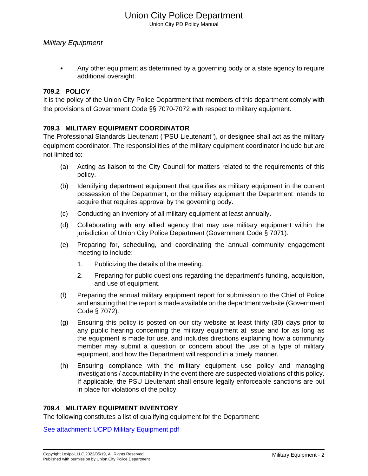• Any other equipment as determined by a governing body or a state agency to require additional oversight.

### **709.2 POLICY**

It is the policy of the Union City Police Department that members of this department comply with the provisions of Government Code §§ 7070-7072 with respect to military equipment.

### **709.3 MILITARY EQUIPMENT COORDINATOR**

The Professional Standards Lieutenant ("PSU Lieutenant"), or designee shall act as the military equipment coordinator. The responsibilities of the military equipment coordinator include but are not limited to:

- (a) Acting as liaison to the City Council for matters related to the requirements of this policy.
- (b) Identifying department equipment that qualifies as military equipment in the current possession of the Department, or the military equipment the Department intends to acquire that requires approval by the governing body.
- (c) Conducting an inventory of all military equipment at least annually.
- (d) Collaborating with any allied agency that may use military equipment within the jurisdiction of Union City Police Department (Government Code § 7071).
- (e) Preparing for, scheduling, and coordinating the annual community engagement meeting to include:
	- 1. Publicizing the details of the meeting.
	- 2. Preparing for public questions regarding the department's funding, acquisition, and use of equipment.
- (f) Preparing the annual military equipment report for submission to the Chief of Police and ensuring that the report is made available on the department website (Government Code § 7072).
- (g) Ensuring this policy is posted on our city website at least thirty (30) days prior to any public hearing concerning the military equipment at issue and for as long as the equipment is made for use, and includes directions explaining how a community member may submit a question or concern about the use of a type of military equipment, and how the Department will respond in a timely manner.
- (h) Ensuring compliance with the military equipment use policy and managing investigations / accountability in the event there are suspected violations of this policy. If applicable, the PSU Lieutenant shall ensure legally enforceable sanctions are put in place for violations of the policy.

### **709.4 MILITARY EQUIPMENT INVENTORY**

The following constitutes a list of qualifying equipment for the Department:

[See attachment: UCPD Military Equipment.pdf](#page-5-0)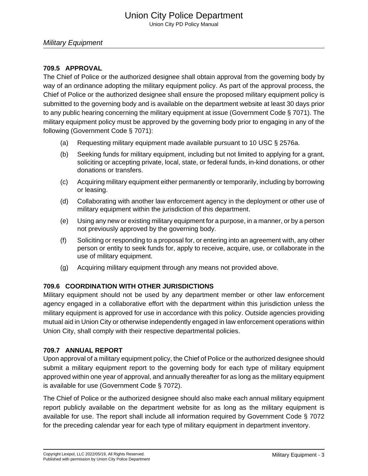Union City PD Policy Manual

### **709.5 APPROVAL**

The Chief of Police or the authorized designee shall obtain approval from the governing body by way of an ordinance adopting the military equipment policy. As part of the approval process, the Chief of Police or the authorized designee shall ensure the proposed military equipment policy is submitted to the governing body and is available on the department website at least 30 days prior to any public hearing concerning the military equipment at issue (Government Code § 7071). The military equipment policy must be approved by the governing body prior to engaging in any of the following (Government Code § 7071):

- (a) Requesting military equipment made available pursuant to 10 USC § 2576a.
- (b) Seeking funds for military equipment, including but not limited to applying for a grant, soliciting or accepting private, local, state, or federal funds, in-kind donations, or other donations or transfers.
- (c) Acquiring military equipment either permanently or temporarily, including by borrowing or leasing.
- (d) Collaborating with another law enforcement agency in the deployment or other use of military equipment within the jurisdiction of this department.
- (e) Using any new or existing military equipment for a purpose, in a manner, or by a person not previously approved by the governing body.
- (f) Soliciting or responding to a proposal for, or entering into an agreement with, any other person or entity to seek funds for, apply to receive, acquire, use, or collaborate in the use of military equipment.
- (g) Acquiring military equipment through any means not provided above.

### **709.6 COORDINATION WITH OTHER JURISDICTIONS**

Military equipment should not be used by any department member or other law enforcement agency engaged in a collaborative effort with the department within this jurisdiction unless the military equipment is approved for use in accordance with this policy. Outside agencies providing mutual aid in Union City or otherwise independently engaged in law enforcement operations within Union City, shall comply with their respective departmental policies.

### **709.7 ANNUAL REPORT**

Upon approval of a military equipment policy, the Chief of Police or the authorized designee should submit a military equipment report to the governing body for each type of military equipment approved within one year of approval, and annually thereafter for as long as the military equipment is available for use (Government Code § 7072).

The Chief of Police or the authorized designee should also make each annual military equipment report publicly available on the department website for as long as the military equipment is available for use. The report shall include all information required by Government Code § 7072 for the preceding calendar year for each type of military equipment in department inventory.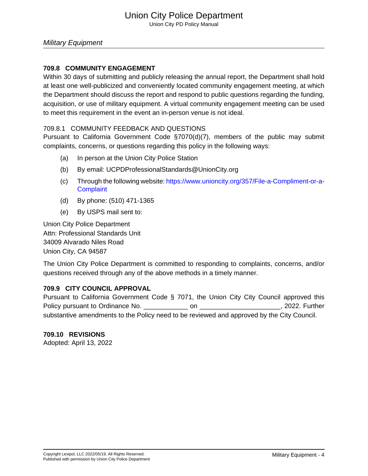### **709.8 COMMUNITY ENGAGEMENT**

Within 30 days of submitting and publicly releasing the annual report, the Department shall hold at least one well-publicized and conveniently located community engagement meeting, at which the Department should discuss the report and respond to public questions regarding the funding, acquisition, or use of military equipment. A virtual community engagement meeting can be used to meet this requirement in the event an in-person venue is not ideal.

### 709.8.1 COMMUNITY FEEDBACK AND QUESTIONS

Pursuant to California Government Code §7070(d)(7), members of the public may submit complaints, concerns, or questions regarding this policy in the following ways:

- (a) In person at the Union City Police Station
- (b) By email: UCPDProfessionalStandards@UnionCity.org
- (c) Through the following website: [https://www.unioncity.org/357/File-a-Compliment-or-a-](https://www.unioncity.org/357/File-a-Compliment-or-a- Complaint)**[Complaint](https://www.unioncity.org/357/File-a-Compliment-or-a- Complaint)**
- (d) By phone: (510) 471-1365
- (e) By USPS mail sent to:

Union City Police Department Attn: Professional Standards Unit 34009 Alvarado Niles Road Union City, CA 94587

The Union City Police Department is committed to responding to complaints, concerns, and/or questions received through any of the above methods in a timely manner.

### **709.9 CITY COUNCIL APPROVAL**

Pursuant to California Government Code § 7071, the Union City City Council approved this Policy pursuant to Ordinance No. \_\_\_\_\_\_\_\_\_\_\_\_ on \_\_\_\_\_\_\_\_\_\_\_\_\_\_\_\_\_\_\_\_\_\_, 2022. Further substantive amendments to the Policy need to be reviewed and approved by the City Council.

### **709.10 REVISIONS**

Adopted: April 13, 2022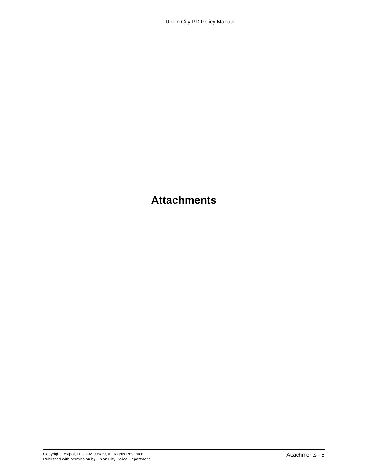## **Attachments**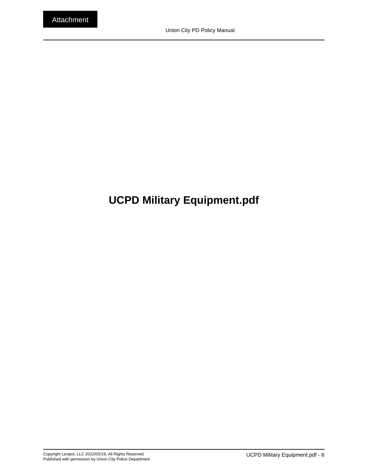# <span id="page-5-0"></span>**UCPD Military Equipment.pdf**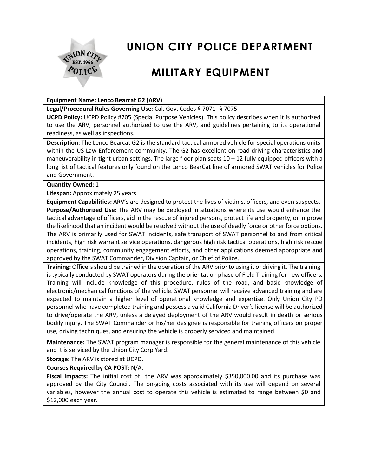

# **UNION CITY POLICE DEPARTMENT**

# **MILITARY EQUIPMENT**

#### **Equipment Name: Lenco Bearcat G2 (ARV)**

**Legal/Procedural Rules Governing Use**: Cal. Gov. Codes § 7071- § 7075

**UCPD Policy:** UCPD Policy #705 (Special Purpose Vehicles). This policy describes when it is authorized to use the ARV, personnel authorized to use the ARV, and guidelines pertaining to its operational readiness, as well as inspections.

**Description:** The Lenco Bearcat G2 is the standard tactical armored vehicle for special operations units within the US Law Enforcement community. The G2 has excellent on-road driving characteristics and maneuverability in tight urban settings. The large floor plan seats  $10 - 12$  fully equipped officers with a long list of tactical features only found on the Lenco BearCat line of armored SWAT vehicles for Police and Government.

**Quantity Owned:** 1

**Lifespan:** Approximately 25 years

**Equipment Capabilities:** ARV's are designed to protect the lives of victims, officers, and even suspects.

**Purpose/Authorized Use:** The ARV may be deployed in situations where its use would enhance the tactical advantage of officers, aid in the rescue of injured persons, protect life and property, or improve the likelihood that an incident would be resolved without the use of deadly force or other force options. The ARV is primarily used for SWAT incidents, safe transport of SWAT personnel to and from critical incidents, high risk warrant service operations, dangerous high risk tactical operations, high risk rescue operations, training, community engagement efforts, and other applications deemed appropriate and approved by the SWAT Commander, Division Captain, or Chief of Police.

Training: Officers should be trained in the operation of the ARV prior to using it or driving it. The training is typically conducted by SWAT operators during the orientation phase of Field Training for new officers. Training will include knowledge of this procedure, rules of the road, and basic knowledge of electronic/mechanical functions of the vehicle. SWAT personnel will receive advanced training and are expected to maintain a higher level of operational knowledge and expertise. Only Union City PD personnel who have completed training and possess a valid California Driver's license will be authorized to drive/operate the ARV, unless a delayed deployment of the ARV would result in death or serious bodily injury. The SWAT Commander or his/her designee is responsible for training officers on proper use, driving techniques, and ensuring the vehicle is properly serviced and maintained.

**Maintenance:** The SWAT program manager is responsible for the general maintenance of this vehicle and it is serviced by the Union City Corp Yard.

**Storage:** The ARV is stored at UCPD.

**Courses Required by CA POST:** N/A.

**Fiscal Impacts:** The initial cost of the ARV was approximately \$350,000.00 and its purchase was approved by the City Council. The on-going costs associated with its use will depend on several variables, however the annual cost to operate this vehicle is estimated to range between \$0 and \$12,000 each year.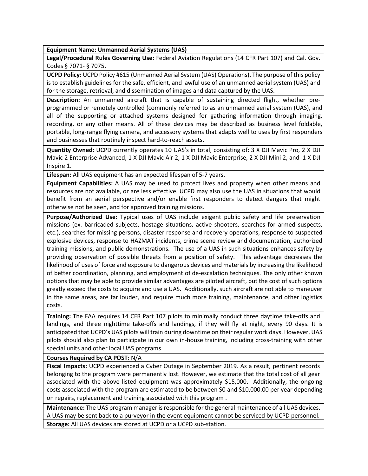**Equipment Name: Unmanned Aerial Systems (UAS)**

**Legal/Procedural Rules Governing Use:** Federal Aviation Regulations (14 CFR Part 107) and Cal. Gov. Codes § 7071- § 7075.

**UCPD Policy:** UCPD Policy #615 (Unmanned Aerial System (UAS) Operations). The purpose of this policy is to establish guidelines for the safe, efficient, and lawful use of an unmanned aerial system (UAS) and for the storage, retrieval, and dissemination of images and data captured by the UAS.

**Description:** An unmanned aircraft that is capable of sustaining directed flight, whether preprogrammed or remotely controlled (commonly referred to as an unmanned aerial system (UAS), and all of the supporting or attached systems designed for gathering information through imaging, recording, or any other means. All of these devices may be described as business level foldable, portable, long-range flying camera, and accessory systems that adapts well to uses by first responders and businesses that routinely inspect hard-to-reach assets.

**Quantity Owned:** UCPD currently operates 10 UAS's in total, consisting of: 3 X DJI Mavic Pro, 2 X DJI Mavic 2 Enterprise Advanced, 1 X DJI Mavic Air 2, 1 X DJI Mavic Enterprise, 2 X DJI Mini 2, and 1 X DJI Inspire 1.

**Lifespan:** All UAS equipment has an expected lifespan of 5-7 years.

**Equipment Capabilities:** A UAS may be used to protect lives and property when other means and resources are not available, or are less effective. UCPD may also use the UAS in situations that would benefit from an aerial perspective and/or enable first responders to detect dangers that might otherwise not be seen, and for approved training missions.

**Purpose/Authorized Use:** Typical uses of UAS include exigent public safety and life preservation missions (ex. barricaded subjects, hostage situations, active shooters, searches for armed suspects, etc.), searches for missing persons, disaster response and recovery operations, response to suspected explosive devices, response to HAZMAT incidents, crime scene review and documentation, authorized training missions, and public demonstrations. The use of a UAS in such situations enhances safety by providing observation of possible threats from a position of safety. This advantage decreases the likelihood of uses of force and exposure to dangerous devices and materials by increasing the likelihood of better coordination, planning, and employment of de-escalation techniques. The only other known options that may be able to provide similar advantages are piloted aircraft, but the cost of such options greatly exceed the costs to acquire and use a UAS. Additionally, such aircraft are not able to maneuver in the same areas, are far louder, and require much more training, maintenance, and other logistics costs.

**Training:** The FAA requires 14 CFR Part 107 pilots to minimally conduct three daytime take-offs and landings, and three nighttime take-offs and landings, if they will fly at night, every 90 days. It is anticipated that UCPD's UAS pilots will train during downtime on their regular work days. However, UAS pilots should also plan to participate in our own in-house training, including cross-training with other special units and other local UAS programs.

**Courses Required by CA POST:** N/A

**Fiscal Impacts:** UCPD experienced a Cyber Outage in September 2019. As a result, pertinent records belonging to the program were permanently lost. However, we estimate that the total cost of all gear associated with the above listed equipment was approximately \$15,000. Additionally, the ongoing costs associated with the program are estimated to be between \$0 and \$10,000.00 per year depending on repairs, replacement and training associated with this program .

**Maintenance:** The UAS program manager is responsible for the general maintenance of all UAS devices. A UAS may be sent back to a purveyor in the event equipment cannot be serviced by UCPD personnel. **Storage:** All UAS devices are stored at UCPD or a UCPD sub-station.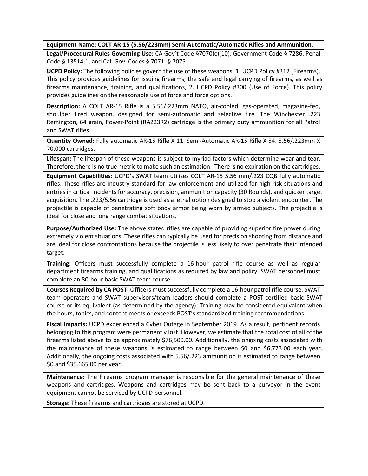**Equipment Name: COLT AR-15 (5.56/223mm) Semi-Automatic/Automatic Rifles and Ammunition.**

**Legal/Procedural Rules Governing Use:** CA Gov't Code §7070(c)(10), Government Code § 7286, Penal Code § 13514.1, and Cal. Gov. Codes § 7071- § 7075.

**UCPD Policy:** The following policies govern the use of these weapons: 1. UCPD Policy #312 (Firearms). This policy provides guidelines for issuing firearms, the safe and legal carrying of firearms, as well as firearms maintenance, training, and qualifications, 2. UCPD Policy #300 (Use of Force). This policy provides guidelines on the reasonable use of force and force options.

**Description:** A COLT AR-15 Rifle is a 5.56/.223mm NATO, air-cooled, gas-operated, magazine-fed, shoulder fired weapon, designed for semi-automatic and selective fire. The Winchester .223 Remington, 64 grain, Power-Point (RA223R2) cartridge is the primary duty ammunition for all Patrol and SWAT rifles.

**Quantity Owned:** Fully automatic AR-15 Rifle X 11. Semi-Automatic AR-15 Rifle X 54. 5.56/.223mm X 70,000 cartridges.

**Lifespan:** The lifespan of these weapons is subject to myriad factors which determine wear and tear. Therefore, there is no true metric to make such an estimation. There is no expiration on the cartridges.

**Equipment Capabilities:** UCPD's SWAT team utilizes COLT AR-15 5.56 mm/.223 CQB fully automatic rifles. These rifles are industry standard for law enforcement and utilized for high-risk situations and entries in critical incidents for accuracy, precision, ammunition capacity (30 Rounds), and quicker target acquisition. The .223/5.56 cartridge is used as a lethal option designed to stop a violent encounter. The projectile is capable of penetrating soft body armor being worn by armed subjects. The projectile is ideal for close and long range combat situations.

**Purpose/Authorized Use:** The above stated rifles are capable of providing superior fire power during extremely violent situations. These rifles can typically be used for precision shooting from distance and are ideal for close confrontations because the projectile is less likely to over penetrate their intended target.

**Training:** Officers must successfully complete a 16-hour patrol rifle course as well as regular department firearms training, and qualifications as required by law and policy. SWAT personnel must complete an 80-hour basic SWAT team course.

**Courses Required by CA POST:** Officers must successfully complete a 16-hour patrol rifle course. SWAT team operators and SWAT supervisors/team leaders should complete a POST-certified basic SWAT course or its equivalent (as determined by the agency). Training may be considered equivalent when the hours, topics, and content meets or exceeds POST's standardized training recommendations.

**Fiscal Impacts:** UCPD experienced a Cyber Outage in September 2019. As a result, pertinent records belonging to this program were permanently lost. However, we estimate that the total cost of all of the firearms listed above to be approximately \$76,500.00. Additionally, the ongoing costs associated with the maintenance of these weapons is estimated to range between \$0 and \$6,773.00 each year. Additionally, the ongoing costs associated with 5.56/.223 ammunition is estimated to range between \$0 and \$35.665.00 per year.

**Maintenance:** The Firearms program manager is responsible for the general maintenance of these weapons and cartridges. Weapons and cartridges may be sent back to a purveyor in the event equipment cannot be serviced by UCPD personnel.

**Storage:** These firearms and cartridges are stored at UCPD.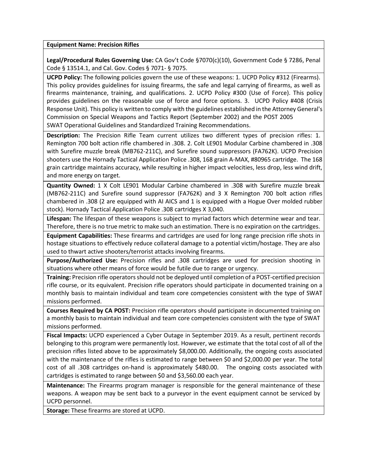#### **Equipment Name: Precision Rifles**

**Legal/Procedural Rules Governing Use:** CA Gov't Code §7070(c)(10), Government Code § 7286, Penal Code § 13514.1, and Cal. Gov. Codes § 7071- § 7075.

**UCPD Policy:** The following policies govern the use of these weapons: 1. UCPD Policy #312 (Firearms). This policy provides guidelines for issuing firearms, the safe and legal carrying of firearms, as well as firearms maintenance, training, and qualifications. 2. UCPD Policy #300 (Use of Force). This policy provides guidelines on the reasonable use of force and force options. 3. UCPD Policy #408 (Crisis Response Unit). This policy is written to comply with the guidelines established in the Attorney General's Commission on Special Weapons and Tactics Report (September 2002) and the POST 2005 SWAT Operational Guidelines and Standardized Training Recommendations.

**Description:** The Precision Rifle Team current utilizes two different types of precision rifles: 1. Remington 700 bolt action rifle chambered in .308. 2. Colt LE901 Modular Carbine chambered in .308 with Surefire muzzle break (MB762-211C), and Surefire sound suppressors (FA762K). UCPD Precision shooters use the Hornady Tactical Application Police .308, 168 grain A-MAX, #80965 cartridge. The 168 grain cartridge maintains accuracy, while resulting in higher impact velocities, less drop, less wind drift, and more energy on target.

**Quantity Owned:** 1 X Colt LE901 Modular Carbine chambered in .308 with Surefire muzzle break (MB762-211C) and Surefire sound suppressor (FA762K) and 3 X Remington 700 bolt action rifles chambered in .308 (2 are equipped with AI AICS and 1 is equipped with a Hogue Over molded rubber stock). Hornady Tactical Application Police .308 cartridges X 3,040.

**Lifespan:** The lifespan of these weapons is subject to myriad factors which determine wear and tear. Therefore, there is no true metric to make such an estimation. There is no expiration on the cartridges.

**Equipment Capabilities:** These firearms and cartridges are used for long range precision rifle shots in hostage situations to effectively reduce collateral damage to a potential victim/hostage. They are also used to thwart active shooters/terrorist attacks involving firearms.

**Purpose/Authorized Use:** Precision rifles and .308 cartridges are used for precision shooting in situations where other means of force would be futile due to range or urgency.

**Training:** Precision rifle operatorsshould not be deployed until completion of a POST-certified precision rifle course, or its equivalent. Precision rifle operators should participate in documented training on a monthly basis to maintain individual and team core competencies consistent with the type of SWAT missions performed.

**Courses Required by CA POST:** Precision rifle operators should participate in documented training on a monthly basis to maintain individual and team core competencies consistent with the type of SWAT missions performed.

**Fiscal Impacts:** UCPD experienced a Cyber Outage in September 2019. As a result, pertinent records belonging to this program were permanently lost. However, we estimate that the total cost of all of the precision rifles listed above to be approximately \$8,000.00. Additionally, the ongoing costs associated with the maintenance of the rifles is estimated to range between \$0 and \$2,000.00 per year. The total cost of all .308 cartridges on-hand is approximately \$480.00. The ongoing costs associated with cartridges is estimated to range between \$0 and \$3,560.00 each year.

**Maintenance:** The Firearms program manager is responsible for the general maintenance of these weapons. A weapon may be sent back to a purveyor in the event equipment cannot be serviced by UCPD personnel.

**Storage:** These firearms are stored at UCPD.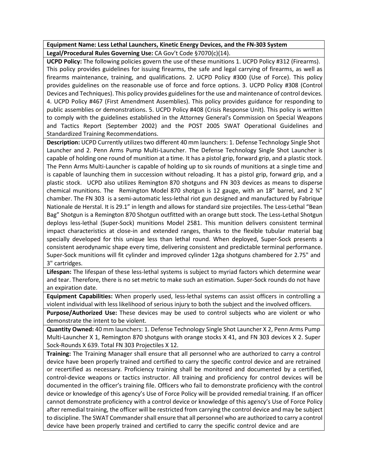### **Equipment Name: Less Lethal Launchers, Kinetic Energy Devices, and the FN-303 System Legal/Procedural Rules Governing Use:** CA Gov't Code §7070(c)(14).

**UCPD Policy:** The following policies govern the use of these munitions 1. UCPD Policy #312 (Firearms). This policy provides guidelines for issuing firearms, the safe and legal carrying of firearms, as well as firearms maintenance, training, and qualifications. 2. UCPD Policy #300 (Use of Force). This policy provides guidelines on the reasonable use of force and force options. 3. UCPD Policy #308 (Control Devices and Techniques). This policy provides guidelines for the use and maintenance of control devices. 4. UCPD Policy #467 (First Amendment Assemblies). This policy provides guidance for responding to public assemblies or demonstrations. 5. UCPD Policy #408 (Crisis Response Unit). This policy is written to comply with the guidelines established in the Attorney General's Commission on Special Weapons and Tactics Report (September 2002) and the POST 2005 SWAT Operational Guidelines and Standardized Training Recommendations.

**Description:** UCPD Currently utilizestwo different 40 mm launchers: 1. Defense Technology Single Shot Launcher and 2. Penn Arms Pump Multi-Launcher. The Defense Technology Single Shot Launcher is capable of holding one round of munition at a time. It has a pistol grip, forward grip, and a plastic stock. The Penn Arms Multi-Launcher is capable of holding up to six rounds of munitions at a single time and is capable of launching them in succession without reloading. It has a pistol grip, forward grip, and a plastic stock. UCPD also utilizes Remington 870 shotguns and FN 303 devices as means to disperse chemical munitions. The Remington Model 870 shotgun is 12 gauge, with an 18" barrel, and 2  $\frac{3}{4}$ " chamber. The FN 303 is a semi-automatic less-lethal riot gun designed and manufactured by Fabrique Nationale de Herstal. It is 29.1" in length and allows for standard size projectiles. The Less-Lethal "Bean Bag" Shotgun is a Remington 870 Shotgun outfitted with an orange butt stock. The Less-Lethal Shotgun deploys less-lethal (Super-Sock) munitions Model 2581. This munition delivers consistent terminal impact characteristics at close-in and extended ranges, thanks to the flexible tubular material bag specially developed for this unique less than lethal round. When deployed, Super-Sock presents a consistent aerodynamic shape every time, delivering consistent and predictable terminal performance. Super-Sock munitions will fit cylinder and improved cylinder 12ga shotguns chambered for 2.75" and 3" cartridges.

**Lifespan:** The lifespan of these less-lethal systems is subject to myriad factors which determine wear and tear. Therefore, there is no set metric to make such an estimation. Super-Sock rounds do not have an expiration date.

**Equipment Capabilities:** When properly used, less-lethal systems can assist officers in controlling a violent individual with less likelihood of serious injury to both the subject and the involved officers.

**Purpose/Authorized Use:** These devices may be used to control subjects who are violent or who demonstrate the intent to be violent.

**Quantity Owned:** 40 mm launchers: 1. Defense Technology Single Shot Launcher X 2, Penn Arms Pump Multi-Launcher X 1, Remington 870 shotguns with orange stocks X 41, and FN 303 devices X 2. Super Sock-Rounds X 639. Total FN 303 Projectiles X 12.

**Training:** The Training Manager shall ensure that all personnel who are authorized to carry a control device have been properly trained and certified to carry the specific control device and are retrained or recertified as necessary. Proficiency training shall be monitored and documented by a certified, control-device weapons or tactics instructor. All training and proficiency for control devices will be documented in the officer's training file. Officers who fail to demonstrate proficiency with the control device or knowledge of this agency's Use of Force Policy will be provided remedial training. If an officer cannot demonstrate proficiency with a control device or knowledge of this agency's Use of Force Policy after remedial training, the officer will be restricted from carrying the control device and may be subject to discipline. The SWAT Commander shall ensure that all personnel who are authorized to carry a control device have been properly trained and certified to carry the specific control device and are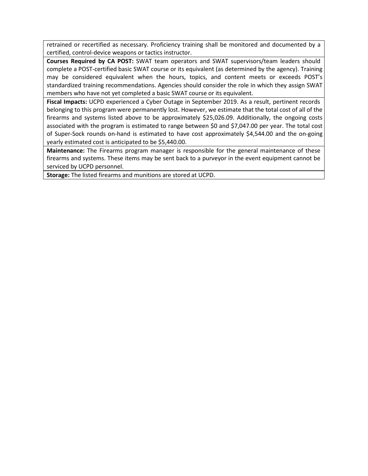retrained or recertified as necessary. Proficiency training shall be monitored and documented by a certified, control-device weapons or tactics instructor.

**Courses Required by CA POST:** SWAT team operators and SWAT supervisors/team leaders should complete a POST-certified basic SWAT course or its equivalent (as determined by the agency). Training may be considered equivalent when the hours, topics, and content meets or exceeds POST's standardized training recommendations. Agencies should consider the role in which they assign SWAT members who have not yet completed a basic SWAT course or its equivalent.

**Fiscal Impacts:** UCPD experienced a Cyber Outage in September 2019. As a result, pertinent records belonging to this program were permanently lost. However, we estimate that the total cost of all of the firearms and systems listed above to be approximately \$25,026.09. Additionally, the ongoing costs associated with the program is estimated to range between \$0 and \$7,047.00 per year. The total cost of Super-Sock rounds on-hand is estimated to have cost approximately \$4,544.00 and the on-going yearly estimated cost is anticipated to be \$5,440.00.

**Maintenance:** The Firearms program manager is responsible for the general maintenance of these firearms and systems. These items may be sent back to a purveyor in the event equipment cannot be serviced by UCPD personnel.

**Storage:** The listed firearms and munitions are stored at UCPD.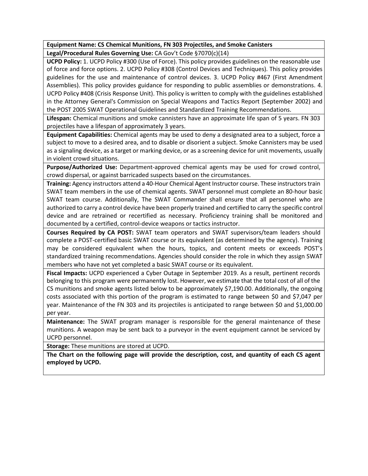### **Equipment Name: CS Chemical Munitions, FN 303 Projectiles, and Smoke Canisters**

**Legal/Procedural Rules Governing Use:** CA Gov't Code §7070(c)(14)

**UCPD Policy:** 1. UCPD Policy #300 (Use of Force). This policy provides guidelines on the reasonable use of force and force options. 2. UCPD Policy #308 (Control Devices and Techniques). This policy provides guidelines for the use and maintenance of control devices. 3. UCPD Policy #467 (First Amendment Assemblies). This policy provides guidance for responding to public assemblies or demonstrations. 4. UCPD Policy #408 (Crisis Response Unit). This policy is written to comply with the guidelines established in the Attorney General's Commission on Special Weapons and Tactics Report (September 2002) and the POST 2005 SWAT Operational Guidelines and Standardized Training Recommendations.

**Lifespan:** Chemical munitions and smoke cannisters have an approximate life span of 5 years. FN 303 projectiles have a lifespan of approximately 3 years.

**Equipment Capabilities:** Chemical agents may be used to deny a designated area to a subject, force a subject to move to a desired area, and to disable or disorient a subject. Smoke Cannisters may be used as a signaling device, as a target or marking device, or as a screening device for unit movements, usually in violent crowd situations.

**Purpose/Authorized Use:** Department-approved chemical agents may be used for crowd control, crowd dispersal, or against barricaded suspects based on the circumstances.

**Training:** Agency instructors attend a 40-Hour Chemical Agent Instructor course. These instructorstrain SWAT team members in the use of chemical agents. SWAT personnel must complete an 80-hour basic SWAT team course. Additionally, The SWAT Commander shall ensure that all personnel who are authorized to carry a control device have been properly trained and certified to carry the specific control device and are retrained or recertified as necessary. Proficiency training shall be monitored and documented by a certified, control-device weapons or tactics instructor.

**Courses Required by CA POST:** SWAT team operators and SWAT supervisors/team leaders should complete a POST-certified basic SWAT course or its equivalent (as determined by the agency). Training may be considered equivalent when the hours, topics, and content meets or exceeds POST's standardized training recommendations. Agencies should consider the role in which they assign SWAT members who have not yet completed a basic SWAT course or its equivalent.

**Fiscal Impacts:** UCPD experienced a Cyber Outage in September 2019. As a result, pertinent records belonging to this program were permanently lost. However, we estimate that the total cost of all of the CS munitions and smoke agents listed below to be approximately \$7,190.00. Additionally, the ongoing costs associated with this portion of the program is estimated to range between \$0 and \$7,047 per year. Maintenance of the FN 303 and its projectiles is anticipated to range between \$0 and \$1,000.00 per year.

**Maintenance:** The SWAT program manager is responsible for the general maintenance of these munitions. A weapon may be sent back to a purveyor in the event equipment cannot be serviced by UCPD personnel.

**Storage:** These munitions are stored at UCPD.

**The Chart on the following page will provide the description, cost, and quantity of each CS agent employed by UCPD.**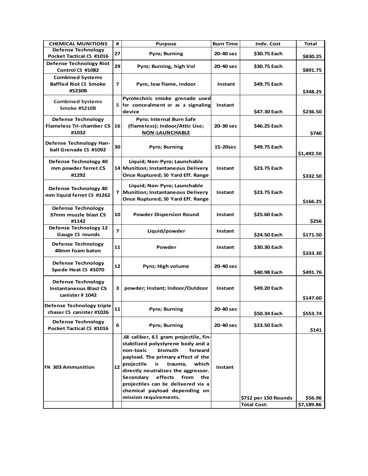| <b>CHEMICAL MUNITIONS</b>                                                    | #              | <b>Purpose</b>                                                                                                                                                                                                                                                                                                                                                    | <b>Burn Time</b> | Indv. Cost           | <b>Total</b> |
|------------------------------------------------------------------------------|----------------|-------------------------------------------------------------------------------------------------------------------------------------------------------------------------------------------------------------------------------------------------------------------------------------------------------------------------------------------------------------------|------------------|----------------------|--------------|
| <b>Defense Technology</b><br>Pocket Tactical CS #1016                        | 27             | <b>Pyro; Burning</b>                                                                                                                                                                                                                                                                                                                                              | 20-40 sec        | \$30.75 Each         | \$830.25     |
| <b>Defense Technology Riot</b><br>Control CS #1082                           | 29             | Pyro; Burning, high Vol                                                                                                                                                                                                                                                                                                                                           | 20-40 sec        | \$30.75 Each         | \$891.75     |
| <b>Combined Systems</b><br><b>Baffled Riot CS Smoke</b><br>#5230B            | 7              | Pyro, low flame, indoor                                                                                                                                                                                                                                                                                                                                           | Instant          | \$49.75 Each         | \$348.25     |
| <b>Combined Systems</b><br><b>Smoke #5210B</b>                               |                | Pyrotechnic smoke grenade used<br>$5$ for concealment or as a signaling<br>device                                                                                                                                                                                                                                                                                 | Instant          | \$47.30 Each         | \$236.50     |
| <b>Defense Technology</b><br><b>Flameless Tri-chamber CS</b><br>#1032        | 16             | <b>Pyro; Internal Burn Safe</b><br>(flameless); Indoor/Attic Use;<br><b>NON-LAUNCHABLE</b>                                                                                                                                                                                                                                                                        | 20-30 sec        | \$46.25 Each         | \$740        |
| Defense Technology Han-<br>ball Grenade CS #1092                             | 30             | <b>Pyro; Burning</b>                                                                                                                                                                                                                                                                                                                                              | 15-20sec         | \$49.75 Each         | \$1,492.50   |
| Defense Technology 40<br>mm powder ferret CS<br>#1292                        |                | Liquid; Non-Pyro; Launchable<br>14 Munition; Instantaneous Delivery<br>Once Ruptured; 50 Yard Eff. Range                                                                                                                                                                                                                                                          | Instant          | \$23.75 Each         | \$332.50     |
| Defense Technology 40<br>mm liquid ferret CS #1262                           | 7              | Liquid; Non-Pyro; Launchable<br>Munition; Instantaneous Delivery<br>Once Ruptured; 50 Yard Eff. Range                                                                                                                                                                                                                                                             | Instant          | \$23.75 Each         | \$166.25     |
| <b>Defense Technology</b><br>37mm muzzle blast CS<br>#1142                   | 10             | <b>Powder Dispersion Round</b>                                                                                                                                                                                                                                                                                                                                    | Instant          | \$25.60 Each         | \$256        |
| Defense Technology 12<br><b>Gauge CS rounds</b>                              | $\overline{z}$ | Liquid/powder                                                                                                                                                                                                                                                                                                                                                     | Instant          | \$24.50 Each         | \$171.50     |
| Defense Technology<br>40mm foam baton                                        | 11             | Powder                                                                                                                                                                                                                                                                                                                                                            | Instant          | \$30.30 Each         | \$333.30     |
| <b>Defense Technology</b><br>Spede Heat CS #1070                             | 12             | Pyro; High volume                                                                                                                                                                                                                                                                                                                                                 | 20-40 sec        | \$40.98 Each         | \$491.76     |
| <b>Defense Technology</b><br><b>Instantaneous Blast CS</b><br>canister #1042 | з              | powder; Instant; Indoor/Outdoor                                                                                                                                                                                                                                                                                                                                   | Instant          | \$49.20 Each         | \$147.60     |
| Defense Technology triple<br>chaser CS canister #1026                        | 11             | <b>Pyro; Burning</b>                                                                                                                                                                                                                                                                                                                                              | 20-40 sec        | \$50.34 Each         | \$553.74     |
| Defense Technology<br>Pocket Tactical CS #1016                               | 6              | Pyro; Burning                                                                                                                                                                                                                                                                                                                                                     | 20-40 sec        | \$23.50 Each         | \$141        |
| <b>FN 303 Ammunition</b>                                                     | 12             | .68 caliber, 8.5 gram projectile, fin-<br>stabilized polystyrene body and a<br>non-toxic<br>bismuth<br>forward<br>payload. The primary effect of the<br>projectile is trauma,<br>which<br>directly neutralizes the aggressor.<br>Secondary<br>effects from<br>the<br>projectiles can be delivered via a<br>chemical payload depending on<br>mission requirements. | Instant          | \$712 per 150 Rounds | \$56.96      |
|                                                                              |                |                                                                                                                                                                                                                                                                                                                                                                   |                  | <b>Total Cost:</b>   | \$7,189.86   |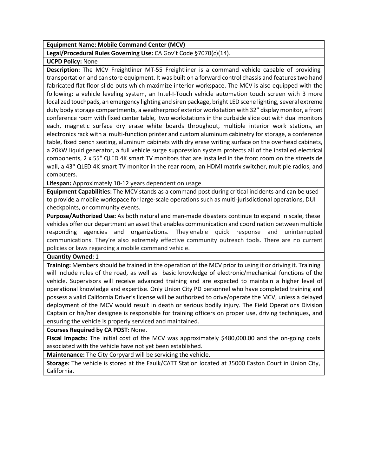#### **Equipment Name: Mobile Command Center (MCV)**

### **Legal/Procedural Rules Governing Use:** CA Gov't Code §7070(c)(14).

#### **UCPD Policy:** None

**Description:** The MCV Freightliner MT-55 Freightliner is a command vehicle capable of providing transportation and can store equipment. It was built on a forward control chassis and featurestwo hand fabricated flat floor slide-outs which maximize interior workspace. The MCV is also equipped with the following: a vehicle leveling system, an Intel-I-Touch vehicle automation touch screen with 3 more localized touchpads, an emergency lighting and siren package, bright LED scene lighting, several extreme duty body storage compartments, a weatherproof exterior workstation with 32" display monitor, a front conference room with fixed center table, two workstations in the curbside slide out with dual monitors each, magnetic surface dry erase white boards throughout, multiple interior work stations, an electronics rack with a multi-function printer and custom aluminum cabinetry forstorage, a conference table, fixed bench seating, aluminum cabinets with dry erase writing surface on the overhead cabinets, a 20kW liquid generator, a full vehicle surge suppression system protects all of the installed electrical components, 2 x 55" QLED 4K smart TV monitors that are installed in the front room on the streetside wall, a 43" QLED 4K smart TV monitor in the rear room, an HDMI matrix switcher, multiple radios, and computers.

**Lifespan:** Approximately 10-12 years dependent on usage.

**Equipment Capabilities:** The MCV stands as a command post during critical incidents and can be used to provide a mobile workspace for large-scale operations such as multi-jurisdictional operations, DUI checkpoints, or community events.

**Purpose/Authorized Use:** As both natural and man-made disasters continue to expand in scale, these vehicles offer our department an asset that enables communication and coordination between multiple responding agencies and organizations. They enable quick response and uninterrupted communications. They're also extremely effective community outreach tools. There are no current policies or laws regarding a mobile command vehicle.

**Quantity Owned:** 1

**Training:** Members should be trained in the operation of the MCV prior to using it or driving it. Training will include rules of the road, as well as basic knowledge of electronic/mechanical functions of the vehicle. Supervisors will receive advanced training and are expected to maintain a higher level of operational knowledge and expertise. Only Union City PD personnel who have completed training and possess a valid California Driver's license will be authorized to drive/operate the MCV, unless a delayed deployment of the MCV would result in death or serious bodily injury. The Field Operations Division Captain or his/her designee is responsible for training officers on proper use, driving techniques, and ensuring the vehicle is properly serviced and maintained.

**Courses Required by CA POST:** None.

**Fiscal Impacts:** The initial cost of the MCV was approximately \$480,000.00 and the on-going costs associated with the vehicle have not yet been established.

**Maintenance:** The City Corpyard will be servicing the vehicle.

**Storage:** The vehicle is stored at the Faulk/CATT Station located at 35000 Easton Court in Union City, California.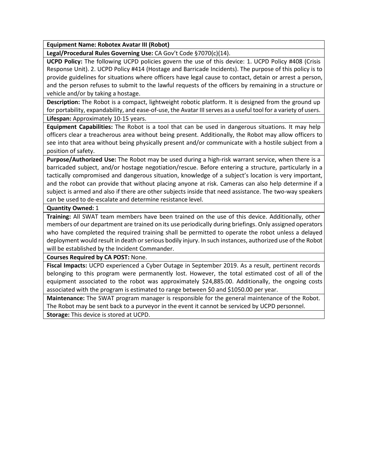**Equipment Name: Robotex Avatar III (Robot)**

**Legal/Procedural Rules Governing Use:** CA Gov't Code §7070(c)(14).

**UCPD Policy:** The following UCPD policies govern the use of this device: 1. UCPD Policy #408 (Crisis Response Unit). 2. UCPD Policy #414 (Hostage and Barricade Incidents). The purpose of this policy is to provide guidelines for situations where officers have legal cause to contact, detain or arrest a person, and the person refuses to submit to the lawful requests of the officers by remaining in a structure or vehicle and/or by taking a hostage.

**Description:** The Robot is a compact, lightweight robotic platform. It is designed from the ground up for portability, expandability, and ease-of-use, the Avatar III serves as a useful tool for a variety of users. **Lifespan:** Approximately 10-15 years.

**Equipment Capabilities:** The Robot is a tool that can be used in dangerous situations. It may help officers clear a treacherous area without being present. Additionally, the Robot may allow officers to see into that area without being physically present and/or communicate with a hostile subject from a position of safety.

**Purpose/Authorized Use:** The Robot may be used during a high-risk warrant service, when there is a barricaded subject, and/or hostage negotiation/rescue. Before entering a structure, particularly in a tactically compromised and dangerous situation, knowledge of a subject's location is very important, and the robot can provide that without placing anyone at risk. Cameras can also help determine if a subject is armed and also if there are other subjects inside that need assistance. The two-way speakers can be used to de-escalate and determine resistance level.

**Quantity Owned:** 1

**Training:** All SWAT team members have been trained on the use of this device. Additionally, other members of our department are trained on its use periodically during briefings. Only assigned operators who have completed the required training shall be permitted to operate the robot unless a delayed deployment would result in death or serious bodily injury. In such instances, authorized use of the Robot will be established by the Incident Commander.

**Courses Required by CA POST:** None.

**Fiscal Impacts:** UCPD experienced a Cyber Outage in September 2019. As a result, pertinent records belonging to this program were permanently lost. However, the total estimated cost of all of the equipment associated to the robot was approximately \$24,885.00. Additionally, the ongoing costs associated with the program is estimated to range between \$0 and \$1050.00 per year.

**Maintenance:** The SWAT program manager is responsible for the general maintenance of the Robot. The Robot may be sent back to a purveyor in the event it cannot be serviced by UCPD personnel.

**Storage:** This device is stored at UCPD.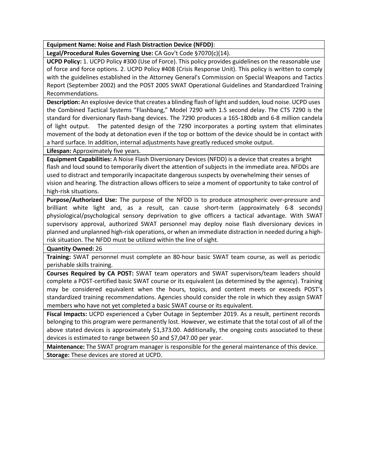**Equipment Name: Noise and Flash Distraction Device (NFDD)**:

**Legal/Procedural Rules Governing Use:** CA Gov't Code §7070(c)(14).

**UCPD Policy:** 1. UCPD Policy #300 (Use of Force). This policy provides guidelines on the reasonable use of force and force options. 2. UCPD Policy #408 (Crisis Response Unit). This policy is written to comply with the guidelines established in the Attorney General's Commission on Special Weapons and Tactics Report (September 2002) and the POST 2005 SWAT Operational Guidelines and Standardized Training Recommendations.

**Description:** An explosive device that creates a blinding flash of light and sudden, loud noise. UCPD uses the Combined Tactical Systems "Flashbang," Model 7290 with 1.5 second delay. The CTS 7290 is the standard for diversionary flash-bang devices. The 7290 produces a 165-180db and 6-8 million candela of light output. The patented design of the 7290 incorporates a porting system that eliminates movement of the body at detonation even if the top or bottom of the device should be in contact with a hard surface. In addition, internal adjustments have greatly reduced smoke output.

**Lifespan:** Approximately five years.

**Equipment Capabilities:** A Noise Flash Diversionary Devices (NFDD) is a device that creates a bright flash and loud sound to temporarily divert the attention of subjects in the immediate area. NFDDs are used to distract and temporarily incapacitate dangerous suspects by overwhelming their senses of vision and hearing. The distraction allows officers to seize a moment of opportunity to take control of high-risk situations.

**Purpose/Authorized Use:** The purpose of the NFDD is to produce atmospheric over-pressure and brilliant white light and, as a result, can cause short-term (approximately 6-8 seconds) physiological/psychological sensory deprivation to give officers a tactical advantage. With SWAT supervisory approval, authorized SWAT personnel may deploy noise flash diversionary devices in planned and unplanned high-risk operations, or when an immediate distraction in needed during a highrisk situation. The NFDD must be utilized within the line of sight.

**Quantity Owned:** 26

**Training:** SWAT personnel must complete an 80-hour basic SWAT team course, as well as periodic perishable skills training.

**Courses Required by CA POST:** SWAT team operators and SWAT supervisors/team leaders should complete a POST-certified basic SWAT course or its equivalent (as determined by the agency). Training may be considered equivalent when the hours, topics, and content meets or exceeds POST's standardized training recommendations. Agencies should consider the role in which they assign SWAT members who have not yet completed a basic SWAT course or its equivalent.

**Fiscal Impacts:** UCPD experienced a Cyber Outage in September 2019. As a result, pertinent records belonging to this program were permanently lost. However, we estimate that the total cost of all of the above stated devices is approximately \$1,373.00. Additionally, the ongoing costs associated to these devices is estimated to range between \$0 and \$7,047.00 per year.

**Maintenance:** The SWAT program manager is responsible for the general maintenance of this device. **Storage:** These devices are stored at UCPD.